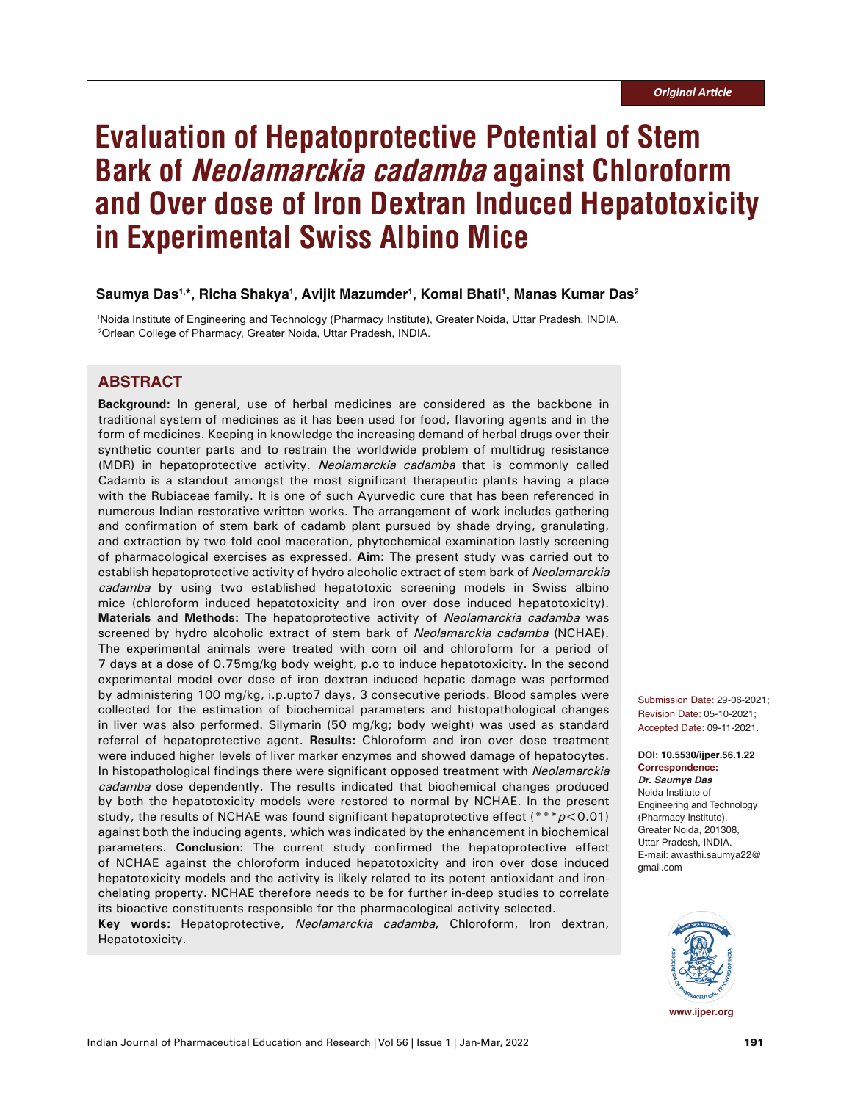# **Evaluation of Hepatoprotective Potential of Stem Bark of Neolamarckia cadamba against Chloroform and Over dose of Iron Dextran Induced Hepatotoxicity in Experimental Swiss Albino Mice**

# **Saumya Das1,\*, Richa Shakya1 , Avijit Mazumder1 , Komal Bhati1 , Manas Kumar Das2**

1 Noida Institute of Engineering and Technology (Pharmacy Institute), Greater Noida, Uttar Pradesh, INDIA. 2 Orlean College of Pharmacy, Greater Noida, Uttar Pradesh, INDIA.

# **ABSTRACT**

**Background:** In general, use of herbal medicines are considered as the backbone in traditional system of medicines as it has been used for food, flavoring agents and in the form of medicines. Keeping in knowledge the increasing demand of herbal drugs over their synthetic counter parts and to restrain the worldwide problem of multidrug resistance (MDR) in hepatoprotective activity. Neolamarckia cadamba that is commonly called Cadamb is a standout amongst the most significant therapeutic plants having a place with the Rubiaceae family. It is one of such Ayurvedic cure that has been referenced in numerous Indian restorative written works. The arrangement of work includes gathering and confirmation of stem bark of cadamb plant pursued by shade drying, granulating, and extraction by two-fold cool maceration, phytochemical examination lastly screening of pharmacological exercises as expressed. **Aim:** The present study was carried out to establish hepatoprotective activity of hydro alcoholic extract of stem bark of Neolamarckia cadamba by using two established hepatotoxic screening models in Swiss albino mice (chloroform induced hepatotoxicity and iron over dose induced hepatotoxicity). **Materials and Methods:** The hepatoprotective activity of Neolamarckia cadamba was screened by hydro alcoholic extract of stem bark of Neolamarckia cadamba (NCHAE). The experimental animals were treated with corn oil and chloroform for a period of 7 days at a dose of 0.75mg/kg body weight, p.o to induce hepatotoxicity. In the second experimental model over dose of iron dextran induced hepatic damage was performed by administering 100 mg/kg, i.p.upto7 days, 3 consecutive periods. Blood samples were collected for the estimation of biochemical parameters and histopathological changes in liver was also performed. Silymarin (50 mg/kg; body weight) was used as standard referral of hepatoprotective agent. **Results:** Chloroform and iron over dose treatment were induced higher levels of liver marker enzymes and showed damage of hepatocytes. In histopathological findings there were significant opposed treatment with Neolamarckia cadamba dose dependently. The results indicated that biochemical changes produced by both the hepatotoxicity models were restored to normal by NCHAE. In the present study, the results of NCHAE was found significant hepatoprotective effect (\*\*\* $p$ <0.01) against both the inducing agents, which was indicated by the enhancement in biochemical parameters. **Conclusion:** The current study confirmed the hepatoprotective effect of NCHAE against the chloroform induced hepatotoxicity and iron over dose induced hepatotoxicity models and the activity is likely related to its potent antioxidant and ironchelating property. NCHAE therefore needs to be for further in-deep studies to correlate its bioactive constituents responsible for the pharmacological activity selected.

**Key words:** Hepatoprotective, Neolamarckia cadamba, Chloroform, Iron dextran, Hepatotoxicity.

Submission Date: 29-06-2021; Revision Date: 05-10-2021; Accepted Date: 09-11-2021.

**DOI: 10.5530/ijper.56.1.22 Correspondence:** *Dr. Saumya Das* Noida Institute of Engineering and Technology (Pharmacy Institute), Greater Noida, 201308, Uttar Pradesh, INDIA. E-mail: awasthi.saumya22@ gmail.com

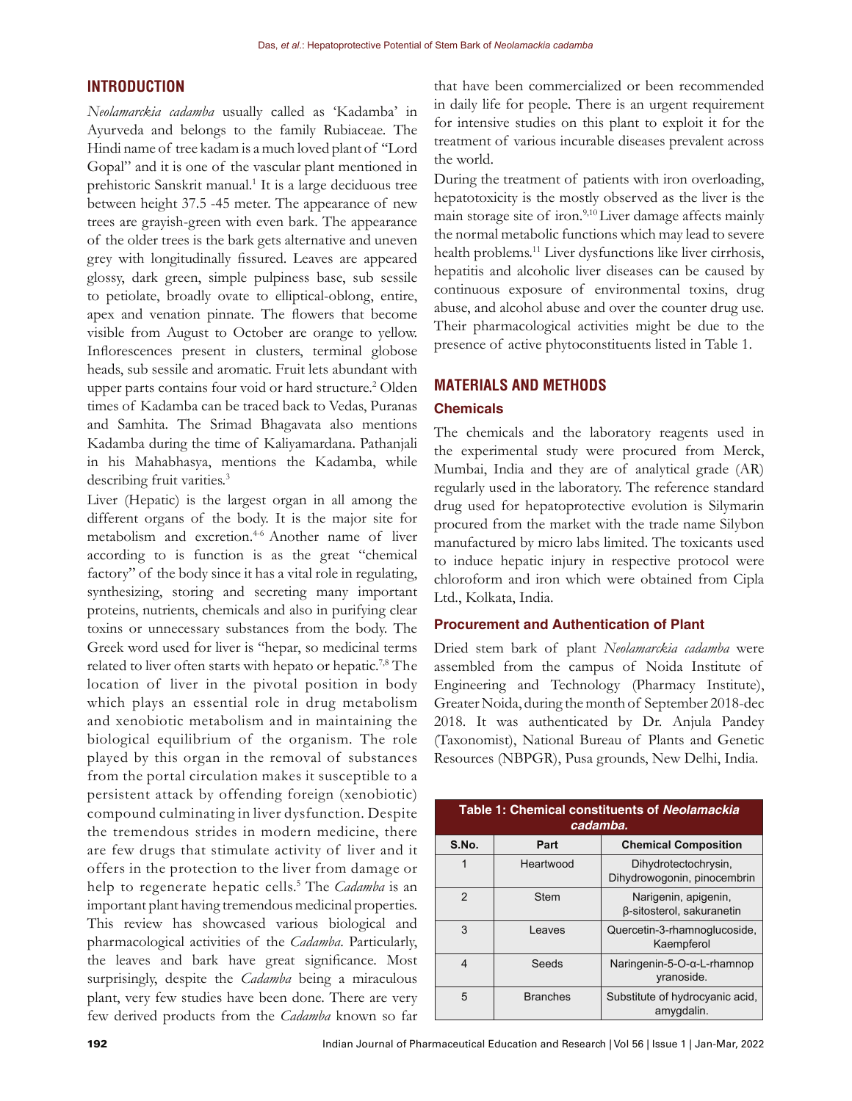# **INTRODUCTION**

*Neolamarckia cadamba* usually called as 'Kadamba' in Ayurveda and belongs to the family Rubiaceae. The Hindi name of tree kadam is a much loved plant of ''Lord Gopal" and it is one of the vascular plant mentioned in prehistoric Sanskrit manual.<sup>1</sup> It is a large deciduous tree between height 37.5 -45 meter. The appearance of new trees are grayish-green with even bark. The appearance of the older trees is the bark gets alternative and uneven grey with longitudinally fissured. Leaves are appeared glossy, dark green, simple pulpiness base, sub sessile to petiolate, broadly ovate to elliptical-oblong, entire, apex and venation pinnate. The flowers that become visible from August to October are orange to yellow. Inflorescences present in clusters, terminal globose heads, sub sessile and aromatic. Fruit lets abundant with upper parts contains four void or hard structure.<sup>2</sup> Olden times of Kadamba can be traced back to Vedas, Puranas and Samhita. The Srimad Bhagavata also mentions Kadamba during the time of Kaliyamardana. Pathanjali in his Mahabhasya, mentions the Kadamba, while describing fruit varities.<sup>3</sup>

Liver (Hepatic) is the largest organ in all among the different organs of the body. It is the major site for metabolism and excretion.<sup>4-6</sup> Another name of liver according to is function is as the great "chemical factory" of the body since it has a vital role in regulating, synthesizing, storing and secreting many important proteins, nutrients, chemicals and also in purifying clear toxins or unnecessary substances from the body. The Greek word used for liver is "hepar, so medicinal terms related to liver often starts with hepato or hepatic.<sup>7,8</sup> The location of liver in the pivotal position in body which plays an essential role in drug metabolism and xenobiotic metabolism and in maintaining the biological equilibrium of the organism. The role played by this organ in the removal of substances from the portal circulation makes it susceptible to a persistent attack by offending foreign (xenobiotic) compound culminating in liver dysfunction. Despite the tremendous strides in modern medicine, there are few drugs that stimulate activity of liver and it offers in the protection to the liver from damage or help to regenerate hepatic cells.<sup>5</sup> The *Cadamba* is an important plant having tremendous medicinal properties. This review has showcased various biological and pharmacological activities of the *Cadamba*. Particularly, the leaves and bark have great significance. Most surprisingly, despite the *Cadamba* being a miraculous plant, very few studies have been done. There are very few derived products from the *Cadamba* known so far

that have been commercialized or been recommended in daily life for people. There is an urgent requirement for intensive studies on this plant to exploit it for the treatment of various incurable diseases prevalent across the world.

During the treatment of patients with iron overloading, hepatotoxicity is the mostly observed as the liver is the main storage site of iron.<sup>9,10</sup> Liver damage affects mainly the normal metabolic functions which may lead to severe health problems.<sup>11</sup> Liver dysfunctions like liver cirrhosis, hepatitis and alcoholic liver diseases can be caused by continuous exposure of environmental toxins, drug abuse, and alcohol abuse and over the counter drug use. Their pharmacological activities might be due to the presence of active phytoconstituents listed in Table 1.

# **MATERIALS AND METHODS**

#### **Chemicals**

The chemicals and the laboratory reagents used in the experimental study were procured from Merck, Mumbai, India and they are of analytical grade (AR) regularly used in the laboratory. The reference standard drug used for hepatoprotective evolution is Silymarin procured from the market with the trade name Silybon manufactured by micro labs limited. The toxicants used to induce hepatic injury in respective protocol were chloroform and iron which were obtained from Cipla Ltd., Kolkata, India.

#### **Procurement and Authentication of Plant**

Dried stem bark of plant *Neolamarckia cadamba* were assembled from the campus of Noida Institute of Engineering and Technology (Pharmacy Institute), Greater Noida, during the month of September 2018-dec 2018. It was authenticated by Dr. Anjula Pandey (Taxonomist), National Bureau of Plants and Genetic Resources (NBPGR), Pusa grounds, New Delhi, India.

| Table 1: Chemical constituents of Neolamackia<br>cadamba. |                 |                                                     |  |  |  |
|-----------------------------------------------------------|-----------------|-----------------------------------------------------|--|--|--|
| S.No.                                                     | Part            | <b>Chemical Composition</b>                         |  |  |  |
| 1                                                         | Heartwood       | Dihydrotectochrysin,<br>Dihydrowogonin, pinocembrin |  |  |  |
| $\mathfrak{p}$                                            | <b>Stem</b>     | Narigenin, apigenin,<br>ß-sitosterol, sakuranetin   |  |  |  |
| 3                                                         | Leaves          | Quercetin-3-rhamnoglucoside,<br>Kaempferol          |  |  |  |
| 4                                                         | Seeds           | Naringenin-5-O- $\alpha$ -L-rhamnop<br>yranoside.   |  |  |  |
| 5                                                         | <b>Branches</b> | Substitute of hydrocyanic acid,<br>amygdalin.       |  |  |  |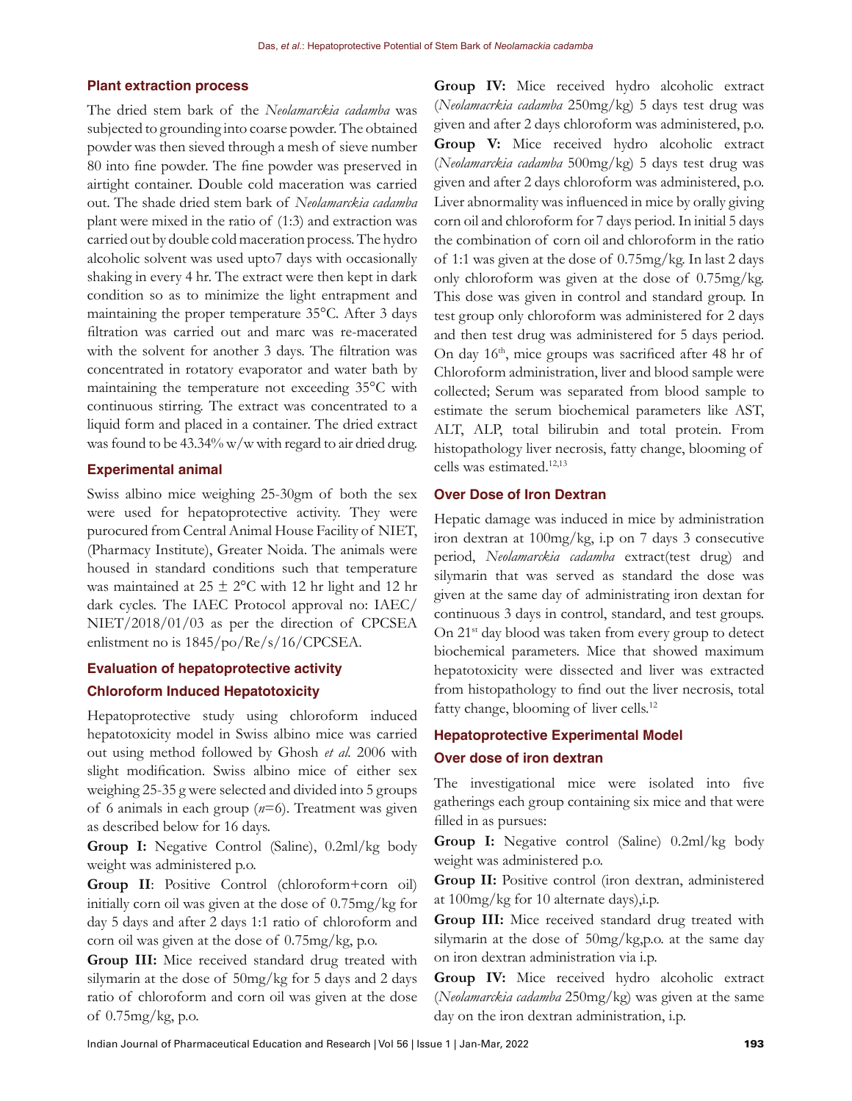# **Plant extraction process**

The dried stem bark of the *Neolamarckia cadamba* was subjected to grounding into coarse powder. The obtained powder was then sieved through a mesh of sieve number 80 into fine powder. The fine powder was preserved in airtight container. Double cold maceration was carried out. The shade dried stem bark of *Neolamarckia cadamba*  plant were mixed in the ratio of (1:3) and extraction was carried out by double cold maceration process. The hydro alcoholic solvent was used upto7 days with occasionally shaking in every 4 hr. The extract were then kept in dark condition so as to minimize the light entrapment and maintaining the proper temperature 35°C. After 3 days filtration was carried out and marc was re-macerated with the solvent for another 3 days. The filtration was concentrated in rotatory evaporator and water bath by maintaining the temperature not exceeding 35°C with continuous stirring. The extract was concentrated to a liquid form and placed in a container. The dried extract was found to be 43.34% w/w with regard to air dried drug.

#### **Experimental animal**

Swiss albino mice weighing 25-30gm of both the sex were used for hepatoprotective activity. They were purocured from Central Animal House Facility of NIET, (Pharmacy Institute), Greater Noida. The animals were housed in standard conditions such that temperature was maintained at  $25 \pm 2$ °C with 12 hr light and 12 hr dark cycles. The IAEC Protocol approval no: IAEC/ NIET/2018/01/03 as per the direction of CPCSEA enlistment no is 1845/po/Re/s/16/CPCSEA.

# **Evaluation of hepatoprotective activity Chloroform Induced Hepatotoxicity**

Hepatoprotective study using chloroform induced hepatotoxicity model in Swiss albino mice was carried out using method followed by Ghosh *et al.* 2006 with slight modification. Swiss albino mice of either sex weighing 25-35 g were selected and divided into 5 groups of 6 animals in each group (*n*=6). Treatment was given as described below for 16 days.

**Group I:** Negative Control (Saline), 0.2ml/kg body weight was administered p.o.

**Group II**: Positive Control (chloroform+corn oil) initially corn oil was given at the dose of 0.75mg/kg for day 5 days and after 2 days 1:1 ratio of chloroform and corn oil was given at the dose of 0.75mg/kg, p.o.

**Group III:** Mice received standard drug treated with silymarin at the dose of 50mg/kg for 5 days and 2 days ratio of chloroform and corn oil was given at the dose of 0.75mg/kg, p.o.

**Group IV:** Mice received hydro alcoholic extract (*Neolamacrkia cadamba* 250mg/kg) 5 days test drug was given and after 2 days chloroform was administered, p.o. **Group V:** Mice received hydro alcoholic extract (*Neolamarckia cadamba* 500mg/kg) 5 days test drug was given and after 2 days chloroform was administered, p.o. Liver abnormality was influenced in mice by orally giving corn oil and chloroform for 7 days period. In initial 5 days the combination of corn oil and chloroform in the ratio of 1:1 was given at the dose of 0.75mg/kg. In last 2 days only chloroform was given at the dose of 0.75mg/kg. This dose was given in control and standard group. In test group only chloroform was administered for 2 days and then test drug was administered for 5 days period. On day 16th, mice groups was sacrificed after 48 hr of Chloroform administration, liver and blood sample were collected; Serum was separated from blood sample to estimate the serum biochemical parameters like AST, ALT, ALP, total bilirubin and total protein. From histopathology liver necrosis, fatty change, blooming of cells was estimated.12,13

#### **Over Dose of Iron Dextran**

Hepatic damage was induced in mice by administration iron dextran at 100mg/kg, i.p on 7 days 3 consecutive period, *Neolamarckia cadamba* extract(test drug) and silymarin that was served as standard the dose was given at the same day of administrating iron dextan for continuous 3 days in control, standard, and test groups. On 21st day blood was taken from every group to detect biochemical parameters. Mice that showed maximum hepatotoxicity were dissected and liver was extracted from histopathology to find out the liver necrosis, total fatty change, blooming of liver cells.<sup>12</sup>

# **Hepatoprotective Experimental Model Over dose of iron dextran**

The investigational mice were isolated into five gatherings each group containing six mice and that were filled in as pursues:

**Group I:** Negative control (Saline) 0.2ml/kg body weight was administered p.o.

**Group II:** Positive control (iron dextran, administered at 100mg/kg for 10 alternate days),i.p.

**Group III:** Mice received standard drug treated with silymarin at the dose of 50mg/kg,p.o. at the same day on iron dextran administration via i.p.

**Group IV:** Mice received hydro alcoholic extract (*Neolamarckia cadamba* 250mg/kg) was given at the same day on the iron dextran administration, i.p.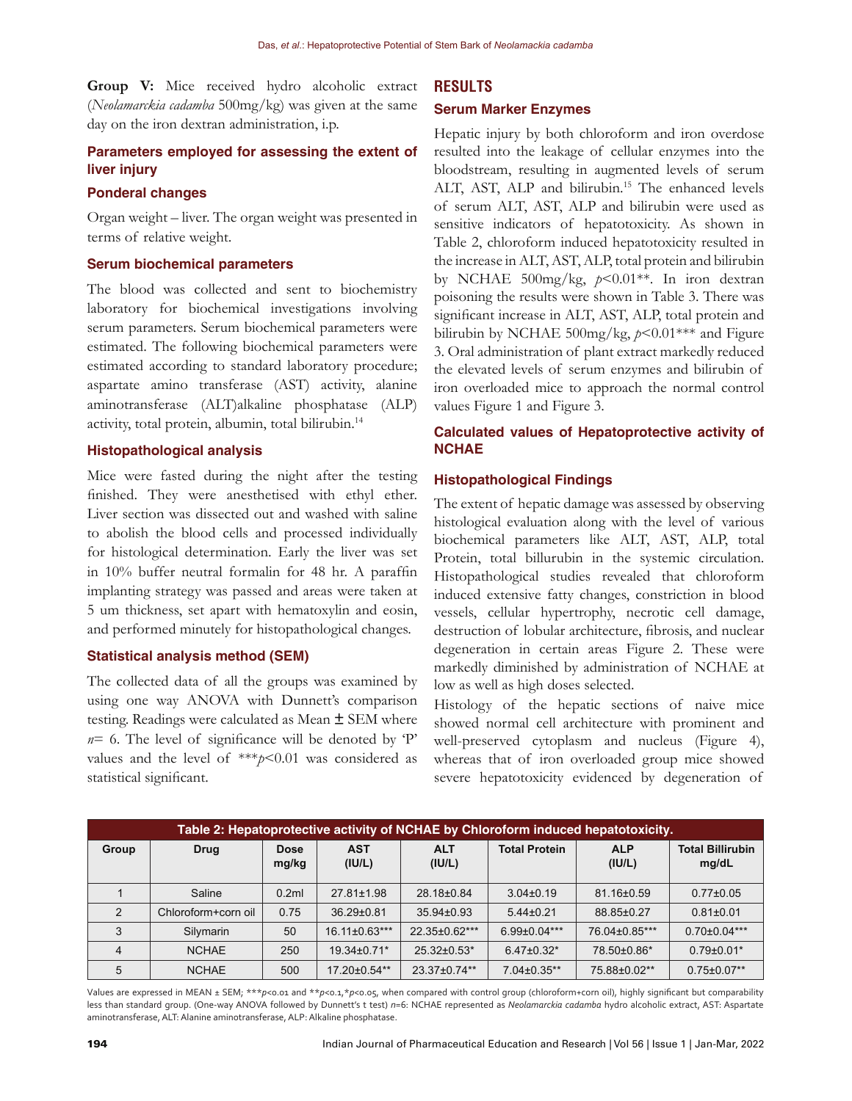**Group V:** Mice received hydro alcoholic extract (*Neolamarckia cadamba* 500mg/kg) was given at the same day on the iron dextran administration, i.p.

# **Parameters employed for assessing the extent of liver injury**

#### **Ponderal changes**

Organ weight – liver. The organ weight was presented in terms of relative weight.

#### **Serum biochemical parameters**

The blood was collected and sent to biochemistry laboratory for biochemical investigations involving serum parameters. Serum biochemical parameters were estimated. The following biochemical parameters were estimated according to standard laboratory procedure; aspartate amino transferase (AST) activity, alanine aminotransferase (ALT)alkaline phosphatase (ALP) activity, total protein, albumin, total bilirubin.14

# **Histopathological analysis**

Mice were fasted during the night after the testing finished. They were anesthetised with ethyl ether. Liver section was dissected out and washed with saline to abolish the blood cells and processed individually for histological determination. Early the liver was set in 10% buffer neutral formalin for 48 hr. A paraffin implanting strategy was passed and areas were taken at 5 um thickness, set apart with hematoxylin and eosin, and performed minutely for histopathological changes.

# **Statistical analysis method (SEM)**

The collected data of all the groups was examined by using one way ANOVA with Dunnett's comparison testing. Readings were calculated as Mean **±** SEM where  $n=$  6. The level of significance will be denoted by  $P'$ values and the level of \*\*\**p*<0.01 was considered as statistical significant.

#### **RESULTS**

# **Serum Marker Enzymes**

Hepatic injury by both chloroform and iron overdose resulted into the leakage of cellular enzymes into the bloodstream, resulting in augmented levels of serum ALT, AST, ALP and bilirubin.<sup>15</sup> The enhanced levels of serum ALT, AST, ALP and bilirubin were used as sensitive indicators of hepatotoxicity. As shown in Table 2, chloroform induced hepatotoxicity resulted in the increase in ALT, AST, ALP, total protein and bilirubin by NCHAE 500mg/kg, *p*<0.01\*\*. In iron dextran poisoning the results were shown in Table 3. There was significant increase in ALT, AST, ALP, total protein and bilirubin by NCHAE 500mg/kg, *p*<0.01\*\*\* and Figure 3. Oral administration of plant extract markedly reduced the elevated levels of serum enzymes and bilirubin of iron overloaded mice to approach the normal control values Figure 1 and Figure 3.

# **Calculated values of Hepatoprotective activity of NCHAE**

#### **Histopathological Findings**

The extent of hepatic damage was assessed by observing histological evaluation along with the level of various biochemical parameters like ALT, AST, ALP, total Protein, total billurubin in the systemic circulation. Histopathological studies revealed that chloroform induced extensive fatty changes, constriction in blood vessels, cellular hypertrophy, necrotic cell damage, destruction of lobular architecture, fibrosis, and nuclear degeneration in certain areas Figure 2. These were markedly diminished by administration of NCHAE at low as well as high doses selected.

Histology of the hepatic sections of naive mice showed normal cell architecture with prominent and well-preserved cytoplasm and nucleus (Figure 4), whereas that of iron overloaded group mice showed severe hepatotoxicity evidenced by degeneration of

| Table 2: Hepatoprotective activity of NCHAE by Chloroform induced hepatotoxicity. |                     |                      |                      |                      |                      |                      |                                  |  |  |
|-----------------------------------------------------------------------------------|---------------------|----------------------|----------------------|----------------------|----------------------|----------------------|----------------------------------|--|--|
| Group                                                                             | <b>Drug</b>         | <b>Dose</b><br>mg/kg | <b>AST</b><br>(IU/L) | <b>ALT</b><br>(IU/L) | <b>Total Protein</b> | <b>ALP</b><br>(IU/L) | <b>Total Billirubin</b><br>mg/dL |  |  |
|                                                                                   | Saline              | 0.2ml                | 27.81±1.98           | 28.18±0.84           | $3.04\pm0.19$        | 81.16±0.59           | $0.77 \pm 0.05$                  |  |  |
| $\mathfrak{p}$                                                                    | Chloroform+corn oil | 0.75                 | 36.29±0.81           | $35.94\pm0.93$       | $5.44 \pm 0.21$      | 88.85±0.27           | $0.81 \pm 0.01$                  |  |  |
| 3                                                                                 | Silymarin           | 50                   | 16.11±0.63***        | 22.35±0.62***        | $6.99\pm0.04***$     | 76.04±0.85***        | $0.70\pm0.04***$                 |  |  |
| 4                                                                                 | <b>NCHAE</b>        | 250                  | 19.34±0.71*          | $25.32\pm0.53*$      | $6.47\pm0.32*$       | 78.50±0.86*          | $0.79 \pm 0.01*$                 |  |  |
| 5                                                                                 | <b>NCHAE</b>        | 500                  | 17.20±0.54**         | 23.37±0.74**         | $7.04\pm0.35**$      | 75.88±0.02**         | $0.75 \pm 0.07**$                |  |  |

Values are expressed in MEAN ± SEM; \*\*\**p*<0.01 and \*\**p*<0.1,\**p*<0.05, when compared with control group (chloroform+corn oil), highly significant but comparability less than standard group. (One-way ANOVA followed by Dunnett's t test) *n*=6: NCHAE represented as *Neolamarckia cadamba* hydro alcoholic extract, AST: Aspartate aminotransferase, ALT: Alanine aminotransferase, ALP: Alkaline phosphatase.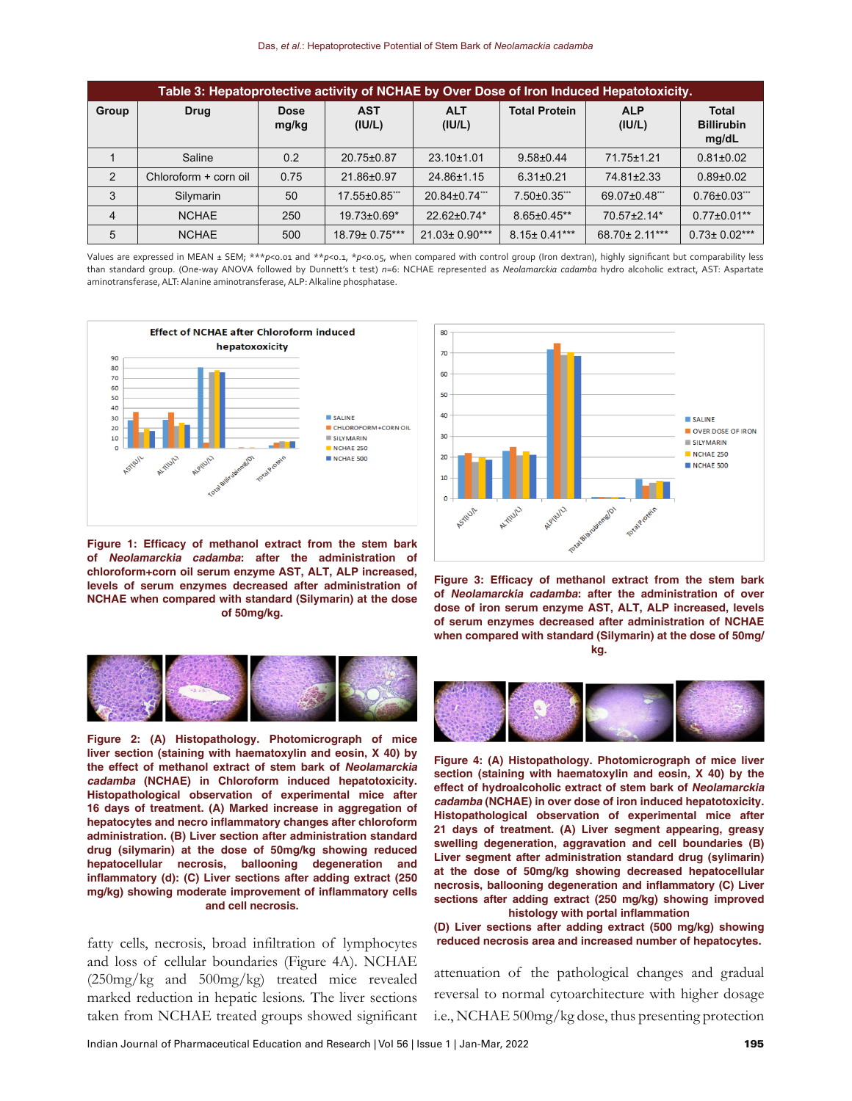| Table 3: Hepatoprotective activity of NCHAE by Over Dose of Iron Induced Hepatotoxicity. |                       |                      |                      |                      |                      |                      |                                            |  |
|------------------------------------------------------------------------------------------|-----------------------|----------------------|----------------------|----------------------|----------------------|----------------------|--------------------------------------------|--|
| Group                                                                                    | <b>Drug</b>           | <b>Dose</b><br>mg/kg | <b>AST</b><br>(IU/L) | <b>ALT</b><br>(IV/L) | <b>Total Protein</b> | <b>ALP</b><br>(IU/L) | <b>Total</b><br><b>Billirubin</b><br>mg/dL |  |
|                                                                                          | Saline                | 0.2                  | 20.75±0.87           | $23.10\pm1.01$       | $9.58 \pm 0.44$      | 71.75±1.21           | $0.81 \pm 0.02$                            |  |
| 2                                                                                        | Chloroform + corn oil | 0.75                 | 21.86±0.97           | 24.86±1.15           | $6.31 \pm 0.21$      | 74.81±2.33           | $0.89{\pm}0.02$                            |  |
| 3                                                                                        | Silymarin             | 50                   | 17.55±0.85***        | 20.84±0.74***        | 7.50±0.35***         | 69.07±0.48***        | $0.76 \pm 0.03$                            |  |
| $\overline{4}$                                                                           | <b>NCHAE</b>          | 250                  | $19.73 \pm 0.69$ *   | 22.62±0.74*          | $8.65 \pm 0.45**$    | 70.57±2.14*          | $0.77 \pm 0.01$ **                         |  |
| 5                                                                                        | <b>NCHAE</b>          | 500                  | 18.79± 0.75***       | 21.03± 0.90***       | $8.15 \pm 0.41***$   | 68.70± 2.11***       | $0.73 \pm 0.02***$                         |  |

Values are expressed in MEAN ± SEM; \*\*\**p*<0.01 and \*\**p<0.1*, \**p<0.05*, when compared with control group (Iron dextran), highly significant but comparability less than standard group. (One-way ANOVA followed by Dunnett's t test) *n*=6: NCHAE represented as *Neolamarckia cadamba* hydro alcoholic extract, AST: Aspartate aminotransferase, ALT: Alanine aminotransferase, ALP: Alkaline phosphatase.



**Figure 1: Efficacy of methanol extract from the stem bark of Neolamarckia cadamba: after the administration of chloroform+corn oil serum enzyme AST, ALT, ALP increased, levels of serum enzymes decreased after administration of NCHAE when compared with standard (Silymarin) at the dose of 50mg/kg.**



**Figure 3: Efficacy of methanol extract from the stem bark of Neolamarckia cadamba: after the administration of over dose of iron serum enzyme AST, ALT, ALP increased, levels of serum enzymes decreased after administration of NCHAE when compared with standard (Silymarin) at the dose of 50mg/ kg.**



**Figure 2: (A) Histopathology. Photomicrograph of mice liver section (staining with haematoxylin and eosin, X 40) by the effect of methanol extract of stem bark of Neolamarckia cadamba (NCHAE) in Chloroform induced hepatotoxicity. Histopathological observation of experimental mice after 16 days of treatment. (A) Marked increase in aggregation of hepatocytes and necro inflammatory changes after chloroform administration. (B) Liver section after administration standard drug (silymarin) at the dose of 50mg/kg showing reduced hepatocellular necrosis, ballooning degeneration and inflammatory (d): (C) Liver sections after adding extract (250 mg/kg) showing moderate improvement of inflammatory cells and cell necrosis.**

and loss of cellular boundaries (Figure 4A). NCHAE (250mg/kg and 500mg/kg) treated mice revealed marked reduction in hepatic lesions. The liver sections taken from NCHAE treated groups showed significant



**Figure 4: (A) Histopathology. Photomicrograph of mice liver section (staining with haematoxylin and eosin, X 40) by the effect of hydroalcoholic extract of stem bark of Neolamarckia cadamba (NCHAE) in over dose of iron induced hepatotoxicity. Histopathological observation of experimental mice after 21 days of treatment. (A) Liver segment appearing, greasy swelling degeneration, aggravation and cell boundaries (B) Liver segment after administration standard drug (sylimarin) at the dose of 50mg/kg showing decreased hepatocellular necrosis, ballooning degeneration and inflammatory (C) Liver sections after adding extract (250 mg/kg) showing improved histology with portal inflammation**

**(D) Liver sections after adding extract (500 mg/kg) showing**  fatty cells, necrosis, broad infiltration of lymphocytes reduced necrosis area and increased number of hepatocytes.

> attenuation of the pathological changes and gradual reversal to normal cytoarchitecture with higher dosage i.e., NCHAE 500mg/kg dose, thus presenting protection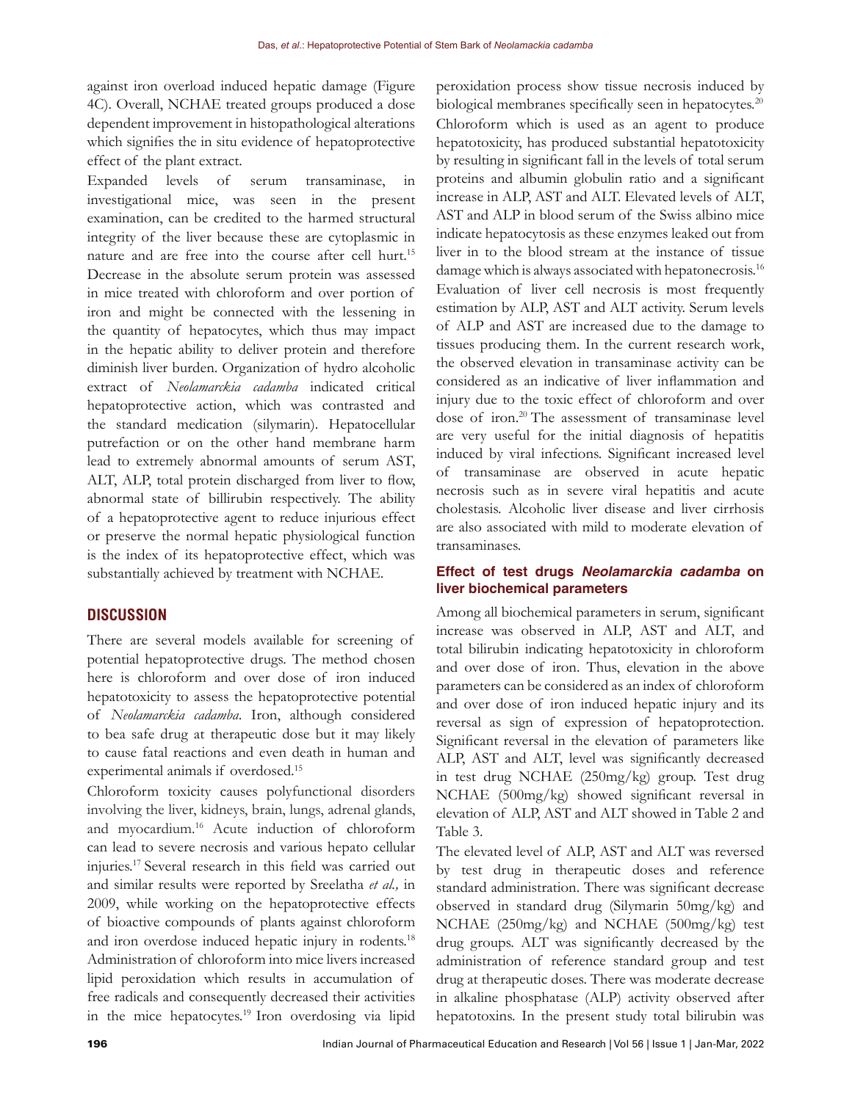against iron overload induced hepatic damage (Figure 4C). Overall, NCHAE treated groups produced a dose dependent improvement in histopathological alterations which signifies the in situ evidence of hepatoprotective effect of the plant extract.

Expanded levels of serum transaminase, in investigational mice, was seen in the present examination, can be credited to the harmed structural integrity of the liver because these are cytoplasmic in nature and are free into the course after cell hurt.15 Decrease in the absolute serum protein was assessed in mice treated with chloroform and over portion of iron and might be connected with the lessening in the quantity of hepatocytes, which thus may impact in the hepatic ability to deliver protein and therefore diminish liver burden. Organization of hydro alcoholic extract of *Neolamarckia cadamba* indicated critical hepatoprotective action, which was contrasted and the standard medication (silymarin). Hepatocellular putrefaction or on the other hand membrane harm lead to extremely abnormal amounts of serum AST, ALT, ALP, total protein discharged from liver to flow, abnormal state of billirubin respectively. The ability of a hepatoprotective agent to reduce injurious effect or preserve the normal hepatic physiological function is the index of its hepatoprotective effect, which was substantially achieved by treatment with NCHAE.

# **DISCUSSION**

There are several models available for screening of potential hepatoprotective drugs. The method chosen here is chloroform and over dose of iron induced hepatotoxicity to assess the hepatoprotective potential of *Neolamarckia cadamba*. Iron, although considered to bea safe drug at therapeutic dose but it may likely to cause fatal reactions and even death in human and experimental animals if overdosed.15

Chloroform toxicity causes polyfunctional disorders involving the liver, kidneys, brain, lungs, adrenal glands, and myocardium.16 Acute induction of chloroform can lead to severe necrosis and various hepato cellular injuries.17 Several research in this field was carried out and similar results were reported by Sreelatha *et al.,* in 2009, while working on the hepatoprotective effects of bioactive compounds of plants against chloroform and iron overdose induced hepatic injury in rodents.<sup>18</sup> Administration of chloroform into mice livers increased lipid peroxidation which results in accumulation of free radicals and consequently decreased their activities in the mice hepatocytes.<sup>19</sup> Iron overdosing via lipid

peroxidation process show tissue necrosis induced by biological membranes specifically seen in hepatocytes.<sup>20</sup> Chloroform which is used as an agent to produce hepatotoxicity, has produced substantial hepatotoxicity by resulting in significant fall in the levels of total serum proteins and albumin globulin ratio and a significant increase in ALP, AST and ALT. Elevated levels of ALT, AST and ALP in blood serum of the Swiss albino mice indicate hepatocytosis as these enzymes leaked out from liver in to the blood stream at the instance of tissue damage which is always associated with hepatonecrosis.<sup>16</sup> Evaluation of liver cell necrosis is most frequently estimation by ALP, AST and ALT activity. Serum levels of ALP and AST are increased due to the damage to tissues producing them. In the current research work, the observed elevation in transaminase activity can be considered as an indicative of liver inflammation and injury due to the toxic effect of chloroform and over dose of iron.<sup>20</sup> The assessment of transaminase level are very useful for the initial diagnosis of hepatitis induced by viral infections. Significant increased level of transaminase are observed in acute hepatic necrosis such as in severe viral hepatitis and acute cholestasis. Alcoholic liver disease and liver cirrhosis are also associated with mild to moderate elevation of transaminases.

## **Effect of test drugs** *Neolamarckia cadamba* **on liver biochemical parameters**

Among all biochemical parameters in serum, significant increase was observed in ALP, AST and ALT, and total bilirubin indicating hepatotoxicity in chloroform and over dose of iron. Thus, elevation in the above parameters can be considered as an index of chloroform and over dose of iron induced hepatic injury and its reversal as sign of expression of hepatoprotection. Significant reversal in the elevation of parameters like ALP, AST and ALT, level was significantly decreased in test drug NCHAE (250mg/kg) group. Test drug NCHAE (500mg/kg) showed significant reversal in elevation of ALP, AST and ALT showed in Table 2 and Table 3.

The elevated level of ALP, AST and ALT was reversed by test drug in therapeutic doses and reference standard administration. There was significant decrease observed in standard drug (Silymarin 50mg/kg) and NCHAE (250mg/kg) and NCHAE (500mg/kg) test drug groups. ALT was significantly decreased by the administration of reference standard group and test drug at therapeutic doses. There was moderate decrease in alkaline phosphatase (ALP) activity observed after hepatotoxins. In the present study total bilirubin was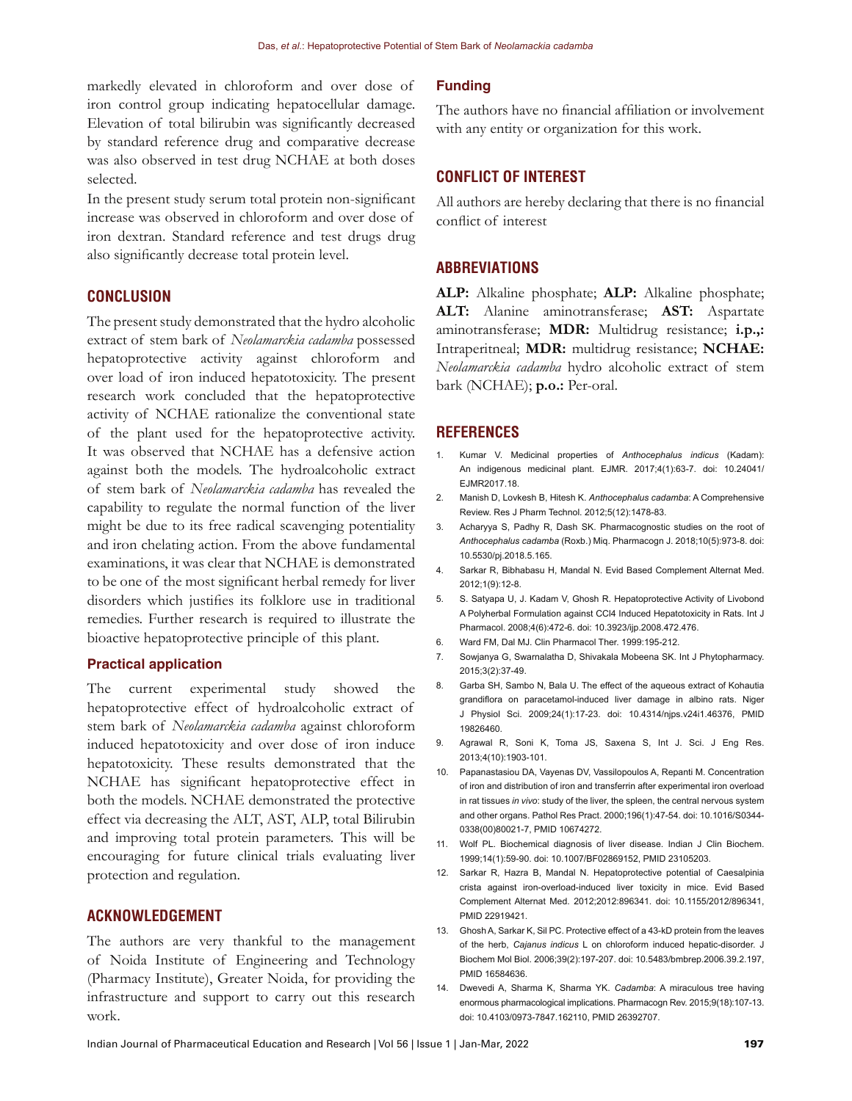markedly elevated in chloroform and over dose of iron control group indicating hepatocellular damage. Elevation of total bilirubin was significantly decreased by standard reference drug and comparative decrease was also observed in test drug NCHAE at both doses selected.

In the present study serum total protein non-significant increase was observed in chloroform and over dose of iron dextran. Standard reference and test drugs drug also significantly decrease total protein level.

#### **CONCLUSION**

The present study demonstrated that the hydro alcoholic extract of stem bark of *Neolamarckia cadamba* possessed hepatoprotective activity against chloroform and over load of iron induced hepatotoxicity. The present research work concluded that the hepatoprotective activity of NCHAE rationalize the conventional state of the plant used for the hepatoprotective activity. It was observed that NCHAE has a defensive action against both the models. The hydroalcoholic extract of stem bark of *Neolamarckia cadamba* has revealed the capability to regulate the normal function of the liver might be due to its free radical scavenging potentiality and iron chelating action. From the above fundamental examinations, it was clear that NCHAE is demonstrated to be one of the most significant herbal remedy for liver disorders which justifies its folklore use in traditional remedies. Further research is required to illustrate the bioactive hepatoprotective principle of this plant.

### **Practical application**

The current experimental study showed the hepatoprotective effect of hydroalcoholic extract of stem bark of *Neolamarckia cadamba* against chloroform induced hepatotoxicity and over dose of iron induce hepatotoxicity. These results demonstrated that the NCHAE has significant hepatoprotective effect in both the models. NCHAE demonstrated the protective effect via decreasing the ALT, AST, ALP, total Bilirubin and improving total protein parameters. This will be encouraging for future clinical trials evaluating liver protection and regulation.

# **ACKNOWLEDGEMENT**

The authors are very thankful to the management of Noida Institute of Engineering and Technology (Pharmacy Institute), Greater Noida, for providing the infrastructure and support to carry out this research work.

#### **Funding**

The authors have no financial affiliation or involvement with any entity or organization for this work.

#### **CONFLICT OF INTEREST**

All authors are hereby declaring that there is no financial conflict of interest

#### **ABBREVIATIONS**

**ALP:** Alkaline phosphate; **ALP:** Alkaline phosphate; **ALT:** Alanine aminotransferase; **AST:** Aspartate aminotransferase; **MDR:** Multidrug resistance; **i.p.,:** Intraperitneal; **MDR:** multidrug resistance; **NCHAE:** *Neolamarckia cadamba* hydro alcoholic extract of stem bark (NCHAE); **p.o.:** Per-oral.

#### **REFERENCES**

- 1. Kumar V. Medicinal properties of *Anthocephalus indicus* (Kadam): An indigenous medicinal plant. EJMR. 2017;4(1):63-7. doi: 10.24041/ EJMR2017.18.
- 2. Manish D, Lovkesh B, Hitesh K. *Anthocephalus cadamba*: A Comprehensive Review. Res J Pharm Technol. 2012;5(12):1478-83.
- 3. Acharyya S, Padhy R, Dash SK. Pharmacognostic studies on the root of *Anthocephalus cadamba* (Roxb.) Miq. Pharmacogn J. 2018;10(5):973-8. doi: 10.5530/pj.2018.5.165.
- 4. Sarkar R, Bibhabasu H, Mandal N. Evid Based Complement Alternat Med. 2012;1(9):12-8.
- 5. S. Satyapa U, J. Kadam V, Ghosh R. Hepatoprotective Activity of Livobond A Polyherbal Formulation against CCl4 Induced Hepatotoxicity in Rats. Int J Pharmacol. 2008;4(6):472-6. doi: 10.3923/ijp.2008.472.476.
- 6. Ward FM, Dal MJ. Clin Pharmacol Ther. 1999:195-212.
- 7. Sowjanya G, Swarnalatha D, Shivakala Mobeena SK. Int J Phytopharmacy. 2015;3(2):37-49.
- 8. Garba SH, Sambo N, Bala U. The effect of the aqueous extract of Kohautia grandiflora on paracetamol-induced liver damage in albino rats. Niger J Physiol Sci. 2009;24(1):17-23. doi: 10.4314/njps.v24i1.46376, PMID 19826460.
- 9. Agrawal R, Soni K, Toma JS, Saxena S, Int J. Sci. J Eng Res. 2013;4(10):1903-101.
- 10. Papanastasiou DA, Vayenas DV, Vassilopoulos A, Repanti M. Concentration of iron and distribution of iron and transferrin after experimental iron overload in rat tissues *in vivo*: study of the liver, the spleen, the central nervous system and other organs. Pathol Res Pract. 2000;196(1):47-54. doi: 10.1016/S0344-0338(00)80021-7, PMID 10674272.
- 11. Wolf PL. Biochemical diagnosis of liver disease. Indian J Clin Biochem. 1999;14(1):59-90. doi: 10.1007/BF02869152, PMID 23105203.
- 12. Sarkar R, Hazra B, Mandal N. Hepatoprotective potential of Caesalpinia crista against iron-overload-induced liver toxicity in mice. Evid Based Complement Alternat Med. 2012;2012:896341. doi: 10.1155/2012/896341, PMID 22919421.
- 13. Ghosh A, Sarkar K, Sil PC. Protective effect of a 43-kD protein from the leaves of the herb, *Cajanus indicus* L on chloroform induced hepatic-disorder. J Biochem Mol Biol. 2006;39(2):197-207. doi: 10.5483/bmbrep.2006.39.2.197, PMID 16584636.
- 14. Dwevedi A, Sharma K, Sharma YK. *Cadamba*: A miraculous tree having enormous pharmacological implications. Pharmacogn Rev. 2015;9(18):107-13. doi: 10.4103/0973-7847.162110, PMID 26392707.